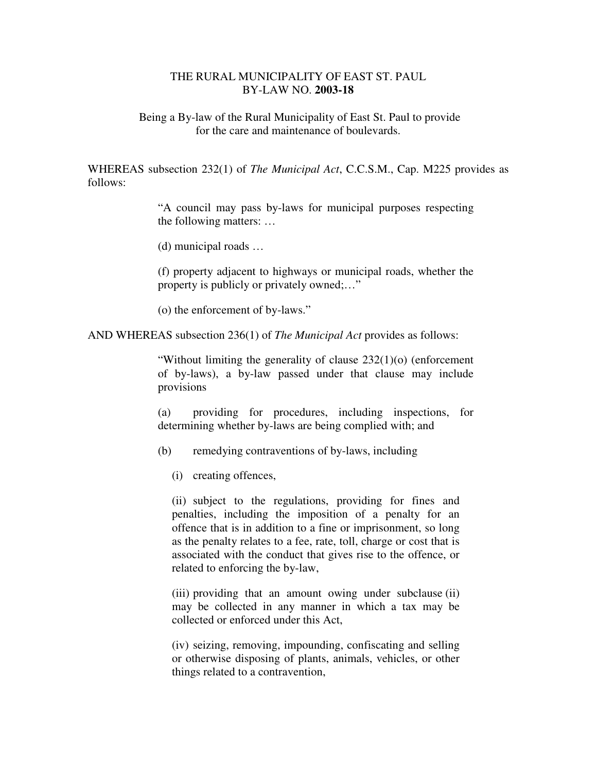## THE RURAL MUNICIPALITY OF EAST ST. PAUL BY-LAW NO. **2003-18**

 Being a By-law of the Rural Municipality of East St. Paul to provide for the care and maintenance of boulevards.

WHEREAS subsection 232(1) of *The Municipal Act*, C.C.S.M., Cap. M225 provides as follows:

> "A council may pass by-laws for municipal purposes respecting the following matters: …

(d) municipal roads …

(f) property adjacent to highways or municipal roads, whether the property is publicly or privately owned;…"

(o) the enforcement of by-laws."

AND WHEREAS subsection 236(1) of *The Municipal Act* provides as follows:

"Without limiting the generality of clause 232(1)(o) (enforcement of by-laws), a by-law passed under that clause may include provisions

(a) providing for procedures, including inspections, for determining whether by-laws are being complied with; and

(b) remedying contraventions of by-laws, including

(i) creating offences,

(ii) subject to the regulations, providing for fines and penalties, including the imposition of a penalty for an offence that is in addition to a fine or imprisonment, so long as the penalty relates to a fee, rate, toll, charge or cost that is associated with the conduct that gives rise to the offence, or related to enforcing the by-law,

(iii) providing that an amount owing under subclause (ii) may be collected in any manner in which a tax may be collected or enforced under this Act,

(iv) seizing, removing, impounding, confiscating and selling or otherwise disposing of plants, animals, vehicles, or other things related to a contravention,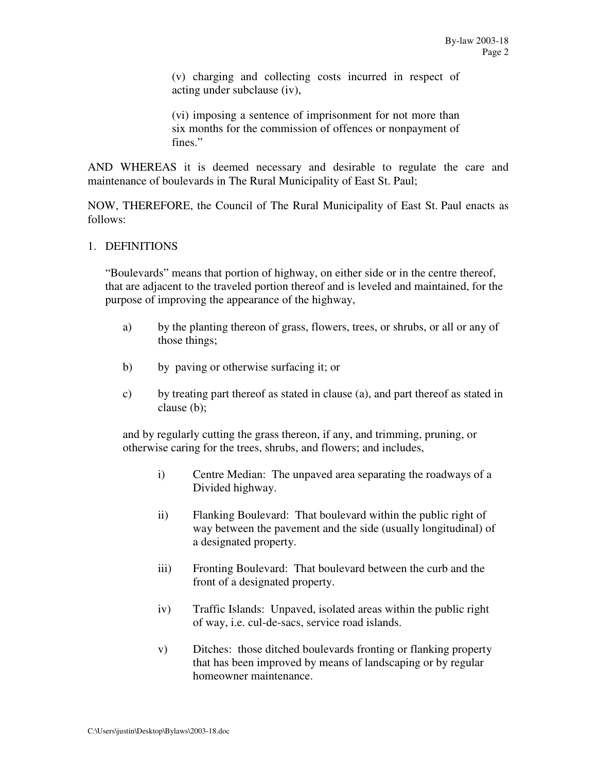(v) charging and collecting costs incurred in respect of acting under subclause (iv),

(vi) imposing a sentence of imprisonment for not more than six months for the commission of offences or nonpayment of fines."

AND WHEREAS it is deemed necessary and desirable to regulate the care and maintenance of boulevards in The Rural Municipality of East St. Paul;

NOW, THEREFORE, the Council of The Rural Municipality of East St. Paul enacts as follows:

### 1. DEFINITIONS

"Boulevards" means that portion of highway, on either side or in the centre thereof, that are adjacent to the traveled portion thereof and is leveled and maintained, for the purpose of improving the appearance of the highway,

- a) by the planting thereon of grass, flowers, trees, or shrubs, or all or any of those things;
- b) by paving or otherwise surfacing it; or
- c) by treating part thereof as stated in clause (a), and part thereof as stated in clause (b);

and by regularly cutting the grass thereon, if any, and trimming, pruning, or otherwise caring for the trees, shrubs, and flowers; and includes,

- i) Centre Median: The unpaved area separating the roadways of a Divided highway.
- ii) Flanking Boulevard: That boulevard within the public right of way between the pavement and the side (usually longitudinal) of a designated property.
- iii) Fronting Boulevard: That boulevard between the curb and the front of a designated property.
- iv) Traffic Islands: Unpaved, isolated areas within the public right of way, i.e. cul-de-sacs, service road islands.
- v) Ditches: those ditched boulevards fronting or flanking property that has been improved by means of landscaping or by regular homeowner maintenance.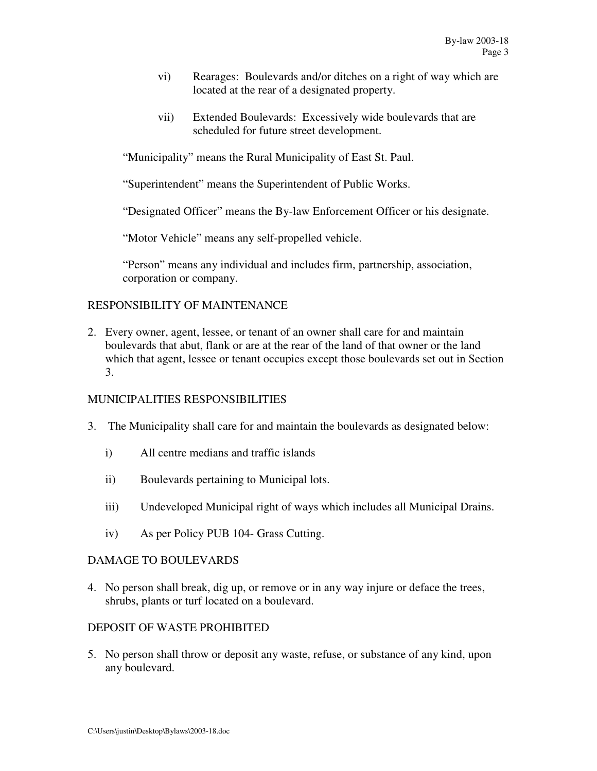- vi) Rearages: Boulevards and/or ditches on a right of way which are located at the rear of a designated property.
- vii) Extended Boulevards: Excessively wide boulevards that are scheduled for future street development.

"Municipality" means the Rural Municipality of East St. Paul.

"Superintendent" means the Superintendent of Public Works.

"Designated Officer" means the By-law Enforcement Officer or his designate.

"Motor Vehicle" means any self-propelled vehicle.

"Person" means any individual and includes firm, partnership, association, corporation or company.

# RESPONSIBILITY OF MAINTENANCE

2. Every owner, agent, lessee, or tenant of an owner shall care for and maintain boulevards that abut, flank or are at the rear of the land of that owner or the land which that agent, lessee or tenant occupies except those boulevards set out in Section 3.

## MUNICIPALITIES RESPONSIBILITIES

- 3. The Municipality shall care for and maintain the boulevards as designated below:
	- i) All centre medians and traffic islands
	- ii) Boulevards pertaining to Municipal lots.
	- iii) Undeveloped Municipal right of ways which includes all Municipal Drains.
	- iv) As per Policy PUB 104- Grass Cutting.

## DAMAGE TO BOULEVARDS

4. No person shall break, dig up, or remove or in any way injure or deface the trees, shrubs, plants or turf located on a boulevard.

## DEPOSIT OF WASTE PROHIBITED

5. No person shall throw or deposit any waste, refuse, or substance of any kind, upon any boulevard.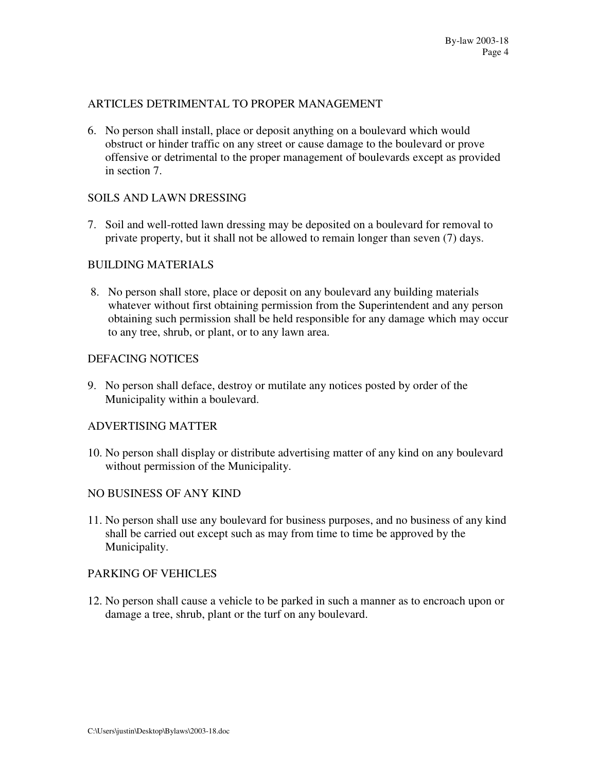## ARTICLES DETRIMENTAL TO PROPER MANAGEMENT

6. No person shall install, place or deposit anything on a boulevard which would obstruct or hinder traffic on any street or cause damage to the boulevard or prove offensive or detrimental to the proper management of boulevards except as provided in section 7.

#### SOILS AND LAWN DRESSING

7. Soil and well-rotted lawn dressing may be deposited on a boulevard for removal to private property, but it shall not be allowed to remain longer than seven (7) days.

### BUILDING MATERIALS

8. No person shall store, place or deposit on any boulevard any building materials whatever without first obtaining permission from the Superintendent and any person obtaining such permission shall be held responsible for any damage which may occur to any tree, shrub, or plant, or to any lawn area.

## DEFACING NOTICES

9. No person shall deface, destroy or mutilate any notices posted by order of the Municipality within a boulevard.

#### ADVERTISING MATTER

10. No person shall display or distribute advertising matter of any kind on any boulevard without permission of the Municipality.

#### NO BUSINESS OF ANY KIND

11. No person shall use any boulevard for business purposes, and no business of any kind shall be carried out except such as may from time to time be approved by the Municipality.

#### PARKING OF VEHICLES

12. No person shall cause a vehicle to be parked in such a manner as to encroach upon or damage a tree, shrub, plant or the turf on any boulevard.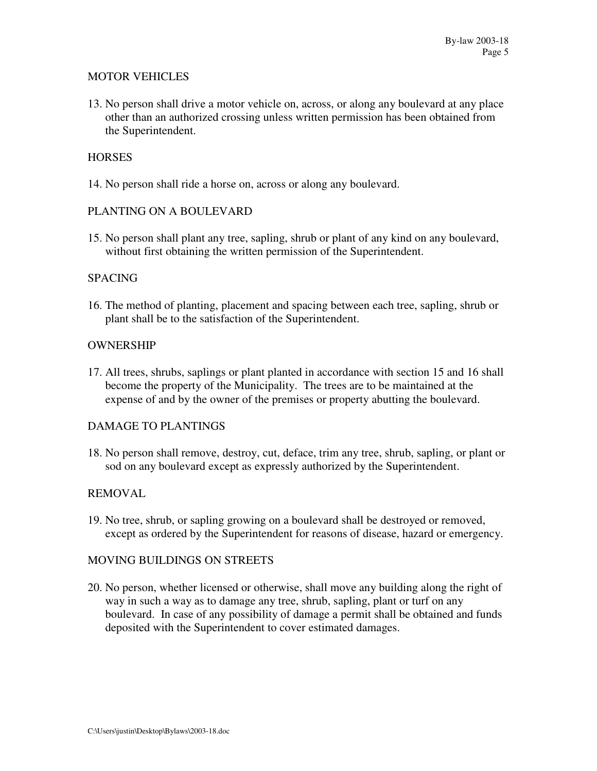## MOTOR VEHICLES

13. No person shall drive a motor vehicle on, across, or along any boulevard at any place other than an authorized crossing unless written permission has been obtained from the Superintendent.

## **HORSES**

14. No person shall ride a horse on, across or along any boulevard.

### PLANTING ON A BOULEVARD

15. No person shall plant any tree, sapling, shrub or plant of any kind on any boulevard, without first obtaining the written permission of the Superintendent.

### **SPACING**

16. The method of planting, placement and spacing between each tree, sapling, shrub or plant shall be to the satisfaction of the Superintendent.

### **OWNERSHIP**

17. All trees, shrubs, saplings or plant planted in accordance with section 15 and 16 shall become the property of the Municipality. The trees are to be maintained at the expense of and by the owner of the premises or property abutting the boulevard.

## DAMAGE TO PLANTINGS

18. No person shall remove, destroy, cut, deface, trim any tree, shrub, sapling, or plant or sod on any boulevard except as expressly authorized by the Superintendent.

#### REMOVAL

19. No tree, shrub, or sapling growing on a boulevard shall be destroyed or removed, except as ordered by the Superintendent for reasons of disease, hazard or emergency.

#### MOVING BUILDINGS ON STREETS

20. No person, whether licensed or otherwise, shall move any building along the right of way in such a way as to damage any tree, shrub, sapling, plant or turf on any boulevard. In case of any possibility of damage a permit shall be obtained and funds deposited with the Superintendent to cover estimated damages.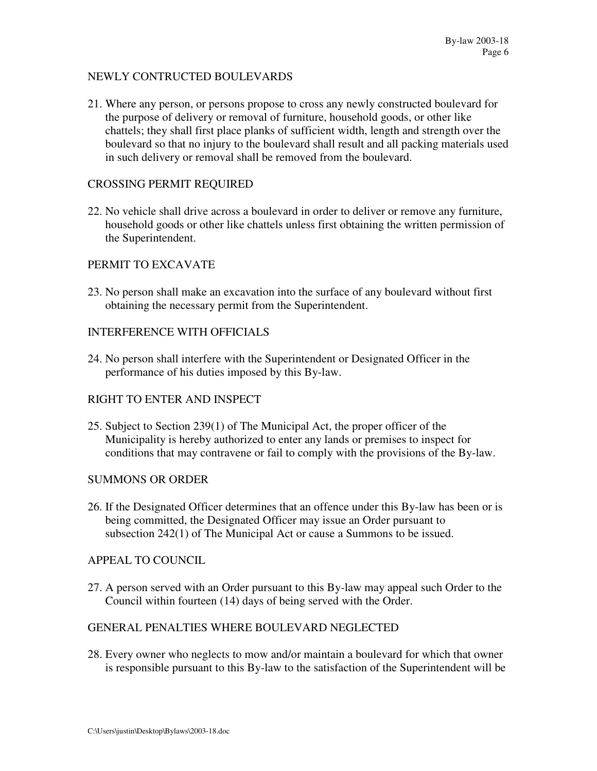### NEWLY CONTRUCTED BOULEVARDS

21. Where any person, or persons propose to cross any newly constructed boulevard for the purpose of delivery or removal of furniture, household goods, or other like chattels; they shall first place planks of sufficient width, length and strength over the boulevard so that no injury to the boulevard shall result and all packing materials used in such delivery or removal shall be removed from the boulevard.

## CROSSING PERMIT REQUIRED

22. No vehicle shall drive across a boulevard in order to deliver or remove any furniture, household goods or other like chattels unless first obtaining the written permission of the Superintendent.

### PERMIT TO EXCAVATE

23. No person shall make an excavation into the surface of any boulevard without first obtaining the necessary permit from the Superintendent.

### INTERFERENCE WITH OFFICIALS

24. No person shall interfere with the Superintendent or Designated Officer in the performance of his duties imposed by this By-law.

#### RIGHT TO ENTER AND INSPECT

25. Subject to Section 239(1) of The Municipal Act, the proper officer of the Municipality is hereby authorized to enter any lands or premises to inspect for conditions that may contravene or fail to comply with the provisions of the By-law.

#### SUMMONS OR ORDER

26. If the Designated Officer determines that an offence under this By-law has been or is being committed, the Designated Officer may issue an Order pursuant to subsection 242(1) of The Municipal Act or cause a Summons to be issued.

#### APPEAL TO COUNCIL

27. A person served with an Order pursuant to this By-law may appeal such Order to the Council within fourteen (14) days of being served with the Order.

#### GENERAL PENALTIES WHERE BOULEVARD NEGLECTED

28. Every owner who neglects to mow and/or maintain a boulevard for which that owner is responsible pursuant to this By-law to the satisfaction of the Superintendent will be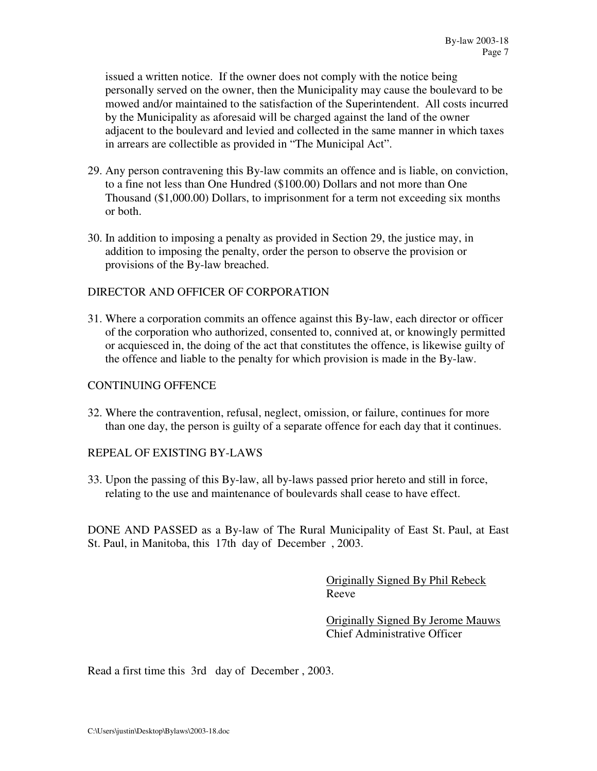issued a written notice. If the owner does not comply with the notice being personally served on the owner, then the Municipality may cause the boulevard to be mowed and/or maintained to the satisfaction of the Superintendent. All costs incurred by the Municipality as aforesaid will be charged against the land of the owner adjacent to the boulevard and levied and collected in the same manner in which taxes in arrears are collectible as provided in "The Municipal Act".

- 29. Any person contravening this By-law commits an offence and is liable, on conviction, to a fine not less than One Hundred (\$100.00) Dollars and not more than One Thousand (\$1,000.00) Dollars, to imprisonment for a term not exceeding six months or both.
- 30. In addition to imposing a penalty as provided in Section 29, the justice may, in addition to imposing the penalty, order the person to observe the provision or provisions of the By-law breached.

### DIRECTOR AND OFFICER OF CORPORATION

31. Where a corporation commits an offence against this By-law, each director or officer of the corporation who authorized, consented to, connived at, or knowingly permitted or acquiesced in, the doing of the act that constitutes the offence, is likewise guilty of the offence and liable to the penalty for which provision is made in the By-law.

#### CONTINUING OFFENCE

32. Where the contravention, refusal, neglect, omission, or failure, continues for more than one day, the person is guilty of a separate offence for each day that it continues.

## REPEAL OF EXISTING BY-LAWS

33. Upon the passing of this By-law, all by-laws passed prior hereto and still in force, relating to the use and maintenance of boulevards shall cease to have effect.

DONE AND PASSED as a By-law of The Rural Municipality of East St. Paul, at East St. Paul, in Manitoba, this 17th day of December , 2003.

> Originally Signed By Phil Rebeck Reeve

 Originally Signed By Jerome Mauws Chief Administrative Officer

Read a first time this 3rd day of December , 2003.